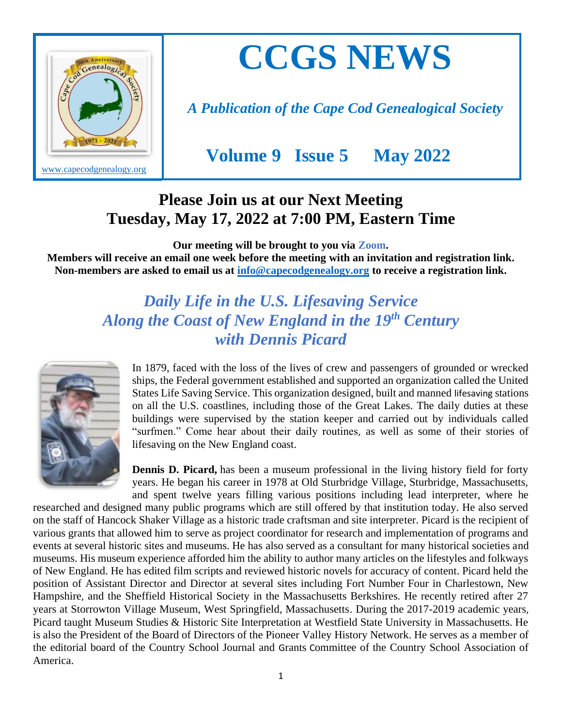

# **CCGS NEWS**

*A Publication of the Cape Cod Genealogical Society*

 **Volume 9 Issue 5 May 2022** 

## **Please Join us at our Next Meeting Tuesday, May 17, 2022 at 7:00 PM, Eastern Time**

**Our meeting will be brought to you via Zoom.** 

**Members will receive an email one week before the meeting with an invitation and registration link. Non-members are asked to email us at [info@capecodgenealogy.org](mailto:info@capecodgenealogy.org) to receive a registration link.**

### *Daily Life in the U.S. Lifesaving Service Along the Coast of New England in the 19th Century with Dennis Picard*



In 1879, faced with the loss of the lives of crew and passengers of grounded or wrecked ships, the Federal government established and supported an organization called the United States Life Saving Service. This organization designed, built and manned lifesaving stations on all the U.S. coastlines, including those of the Great Lakes. The daily duties at these buildings were supervised by the station keeper and carried out by individuals called "surfmen." Come hear about their daily routines, as well as some of their stories of lifesaving on the New England coast.

**Dennis D. Picard,** has been a museum professional in the living history field for forty years. He began his career in 1978 at Old Sturbridge Village, Sturbridge, Massachusetts, and spent twelve years filling various positions including lead interpreter, where he

researched and designed many public programs which are still offered by that institution today. He also served on the staff of Hancock Shaker Village as a historic trade craftsman and site interpreter. Picard is the recipient of various grants that allowed him to serve as project coordinator for research and implementation of programs and events at several historic sites and museums. He has also served as a consultant for many historical societies and museums. His museum experience afforded him the ability to author many articles on the lifestyles and folkways of New England. He has edited film scripts and reviewed historic novels for accuracy of content. Picard held the position of Assistant Director and Director at several sites including Fort Number Four in Charlestown, New Hampshire, and the Sheffield Historical Society in the Massachusetts Berkshires. He recently retired after 27 years at Storrowton Village Museum, West Springfield, Massachusetts. During the 2017-2019 academic years, Picard taught Museum Studies & Historic Site Interpretation at Westfield State University in Massachusetts. He is also the President of the Board of Directors of the Pioneer Valley History Network. He serves as a member of the editorial board of the Country School Journal and Grants Committee of the Country School Association of America.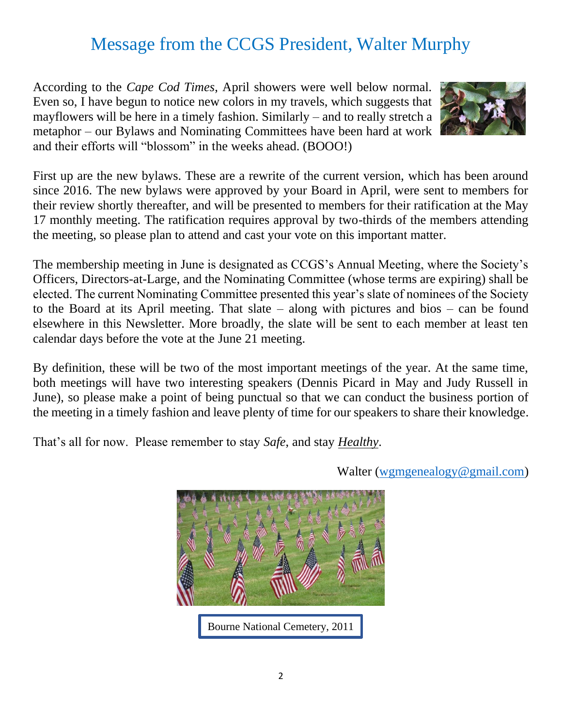# Message from the CCGS President, Walter Murphy

According to the *Cape Cod Times*, April showers were well below normal. Even so, I have begun to notice new colors in my travels, which suggests that mayflowers will be here in a timely fashion. Similarly – and to really stretch a metaphor – our Bylaws and Nominating Committees have been hard at work and their efforts will "blossom" in the weeks ahead. (BOOO!)



First up are the new bylaws. These are a rewrite of the current version, which has been around since 2016. The new bylaws were approved by your Board in April, were sent to members for their review shortly thereafter, and will be presented to members for their ratification at the May 17 monthly meeting. The ratification requires approval by two-thirds of the members attending the meeting, so please plan to attend and cast your vote on this important matter.

The membership meeting in June is designated as CCGS's Annual Meeting, where the Society's Officers, Directors-at-Large, and the Nominating Committee (whose terms are expiring) shall be elected. The current Nominating Committee presented this year's slate of nominees of the Society to the Board at its April meeting. That slate – along with pictures and bios – can be found elsewhere in this Newsletter. More broadly, the slate will be sent to each member at least ten calendar days before the vote at the June 21 meeting.

By definition, these will be two of the most important meetings of the year. At the same time, both meetings will have two interesting speakers (Dennis Picard in May and Judy Russell in June), so please make a point of being punctual so that we can conduct the business portion of the meeting in a timely fashion and leave plenty of time for our speakers to share their knowledge.

That's all for now. Please remember to stay *Safe*, and stay *Healthy*.



Walter [\(wgmgenealogy@gmail.com\)](file:///C:/Users/Walter%20Murphy/Google%20Drive/CCGS/wgmgenealogy@gmail.com)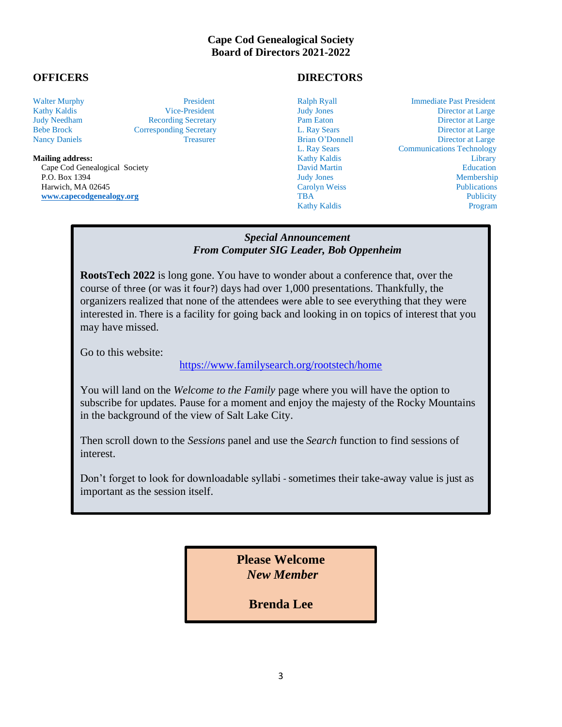#### **Cape Cod Genealogical Society Board of Directors 2021-2022**

Cape Cod Genealogical Society **David Martin Community** David Martin Education Education P.O. Box 1394 Judy Jones Membership P.O. Box 1394 Judy Jones Membership<br>
Harwich, MA 02645 Carolyn Weiss Publications<br>
TBA Publicity Publications<br>
Publicity

#### **OFFICERS DIRECTORS**

**Kathy Kaldis** 

Walter Murphy **President** President Ralph Ryall **Immediate Past President** Ralph Ryall Immediate Past President Kathy Kaldis Vice-President Judy Jones Director at Large Judy Needham Recording Secretary Pam Eaton Director at Large Bebe Brock Corresponding Secretary L. Ray Sears Director at Large Nancy Daniels **Treasurer** Treasurer Brian O'Donnell Director at Large L. Ray Sears Communications Technology **Mailing address:** Elibrary **Kathy Kaldis Elibrary Address:** Elibrary **Library Library Elibrary Library Library Library Library Library Library Library Library Library Library Library Library [www.capecodgenealogy.org](http://www.capecodgenealogy.org/)** TBA Publicity **TBA** Publicity **TBA** Publicity

#### *Special Announcement From Computer SIG Leader, Bob Oppenheim*

**RootsTech 2022** is long gone. You have to wonder about a conference that, over the course of three (or was it four?) days had over 1,000 presentations. Thankfully, the organizers realized that none of the attendees were able to see everything that they were interested in. There is a facility for going back and looking in on topics of interest that you may have missed.

Go to this website:

#### <https://www.familysearch.org/rootstech/home>

In the background of the view of Salt Lake City. **new restaurant called Karma?**  You will land on the *Welcome to the Family* page where you will have the option to subscribe for updates. Pause for a moment and enjoy the majesty of the Rocky Mountains

Then scroll down to the *Sessions* panel and use the *Search* function to find sessions of interest.

*W W W <i>W <i>W <i>W <i>W <i>W <i>W <i>W <i>W <i>W <i>W <i>W <i>M* Don't forget to look for downloadable syllabi - sometimes their take-away value is just as important as the session itself.

> **Please Welcome** *New Member*

> > **Brenda Lee**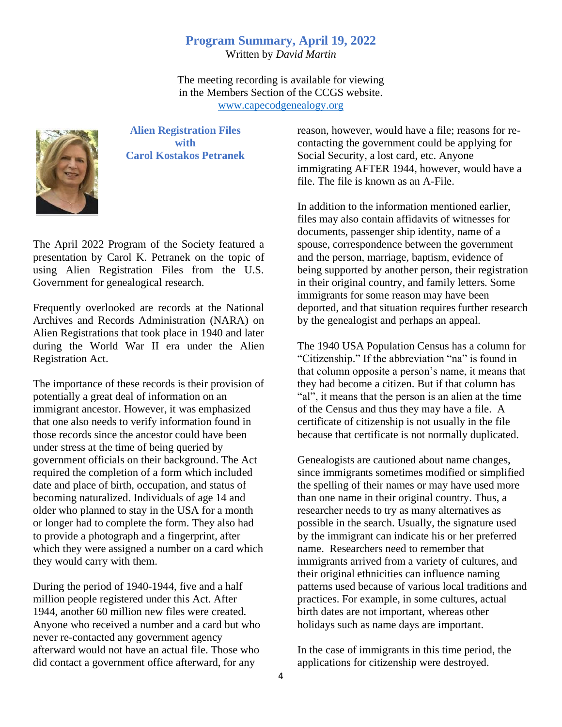#### **Program Summary, April 19, 2022**

Written by *David Martin*

The meeting recording is available for viewing in the Members Section of the CCGS website. [www.capecodgenealogy.org](http://www.capecodgenealogy.org/)



**Alien Registration Files with Carol Kostakos Petranek**

The April 2022 Program of the Society featured a presentation by Carol K. Petranek on the topic of using Alien Registration Files from the U.S. Government for genealogical research.

Frequently overlooked are records at the National Archives and Records Administration (NARA) on Alien Registrations that took place in 1940 and later during the World War II era under the Alien Registration Act.

The importance of these records is their provision of potentially a great deal of information on an immigrant ancestor. However, it was emphasized that one also needs to verify information found in those records since the ancestor could have been under stress at the time of being queried by government officials on their background. The Act required the completion of a form which included date and place of birth, occupation, and status of becoming naturalized. Individuals of age 14 and older who planned to stay in the USA for a month or longer had to complete the form. They also had to provide a photograph and a fingerprint, after which they were assigned a number on a card which they would carry with them.

During the period of 1940-1944, five and a half million people registered under this Act. After 1944, another 60 million new files were created. Anyone who received a number and a card but who never re-contacted any government agency afterward would not have an actual file. Those who did contact a government office afterward, for any

reason, however, would have a file; reasons for recontacting the government could be applying for Social Security, a lost card, etc. Anyone immigrating AFTER 1944, however, would have a file. The file is known as an A-File.

In addition to the information mentioned earlier, files may also contain affidavits of witnesses for documents, passenger ship identity, name of a spouse, correspondence between the government and the person, marriage, baptism, evidence of being supported by another person, their registration in their original country, and family letters. Some immigrants for some reason may have been deported, and that situation requires further research by the genealogist and perhaps an appeal.

The 1940 USA Population Census has a column for "Citizenship." If the abbreviation "na" is found in that column opposite a person's name, it means that they had become a citizen. But if that column has "al", it means that the person is an alien at the time of the Census and thus they may have a file. A certificate of citizenship is not usually in the file because that certificate is not normally duplicated.

Genealogists are cautioned about name changes, since immigrants sometimes modified or simplified the spelling of their names or may have used more than one name in their original country. Thus, a researcher needs to try as many alternatives as possible in the search. Usually, the signature used by the immigrant can indicate his or her preferred name. Researchers need to remember that immigrants arrived from a variety of cultures, and their original ethnicities can influence naming patterns used because of various local traditions and practices. For example, in some cultures, actual birth dates are not important, whereas other holidays such as name days are important.

In the case of immigrants in this time period, the applications for citizenship were destroyed.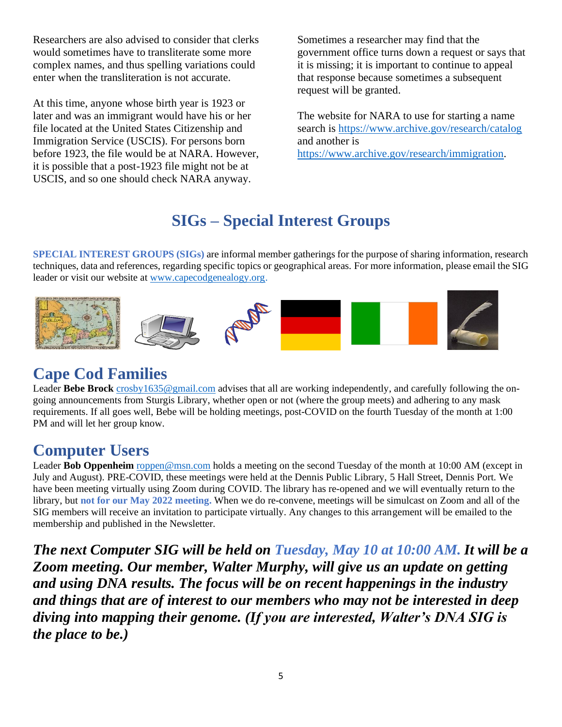Researchers are also advised to consider that clerks would sometimes have to transliterate some more complex names, and thus spelling variations could enter when the transliteration is not accurate.

At this time, anyone whose birth year is 1923 or later and was an immigrant would have his or her file located at the United States Citizenship and Immigration Service (USCIS). For persons born before 1923, the file would be at NARA. However, it is possible that a post-1923 file might not be at USCIS, and so one should check NARA anyway.

Sometimes a researcher may find that the government office turns down a request or says that it is missing; it is important to continue to appeal that response because sometimes a subsequent request will be granted.

The website for NARA to use for starting a name search is<https://www.archive.gov/research/catalog> and another is [https://www.archive.gov/research/immigration.](https://www.archive.gov/research/immigration)

# **SIGs – Special Interest Groups**

**SPECIAL INTEREST GROUPS (SIGs)** are informal member gatherings for the purpose of sharing information, research techniques, data and references, regarding specific topics or geographical areas. For more information, please email the SIG leader or visit our website at [www.capecodgenealogy.org.](http://www.capecodgenealogy.org/)



### **Cape C[od F](https://creativecommons.org/licenses/by-sa/3.0/)amilies**

L[eader](https://creativecommons.org/licenses/by-sa/3.0/) Bebe Brock [crosby1635@gmail.com](mailto:crosby1635@gmail.com) advises that all are working indep[endent](https://creativecommons.org/licenses/by-nc-sa/3.0/)ly, and carefully following the ongoing announcements from Sturgis Library, [whether o](https://creativecommons.org/licenses/by-sa/3.0/)pen or not (w[here the](https://creativecommons.org/licenses/by-sa/3.0/) group meets) and adhering to any mask requirements. If all goes well, Bebe will be holding meetings, [pos](https://creativecommons.org/licenses/by-sa/3.0/)t-COVID on the fourth Tuesday of th[e month](https://creativecommons.org/licenses/by-sa/3.0/) at 1:00 PM and will let her group know.

### **Computer Users**

Leader **Bob Oppenheim** [roppen@msn.com](mailto:roppen@msn.com) holds a meeting on the second Tuesday of the month at 10:00 AM (except in July and August). PRE-COVID, these meetings were held at the Dennis Public Library, 5 Hall Street, Dennis Port. We have been meeting virtually using Zoom during COVID. The library has re-opened and we will eventually return to the library, but **not for our May 2022 meeting.** When we do re-convene, meetings will be simulcast on Zoom and all of the SIG members will receive an invitation to participate virtually. Any changes to this arrangement will be emailed to the membership and published in the Newsletter.

*The next Computer SIG will be held on Tuesday, May 10 at 10:00 AM. It will be a Zoom meeting. Our member, Walter Murphy, will give us an update on getting and using DNA results. The focus will be on recent happenings in the industry and things that are of interest to our members who may not be interested in deep diving into mapping their genome. (If you are interested, Walter's DNA SIG is the place to be.)*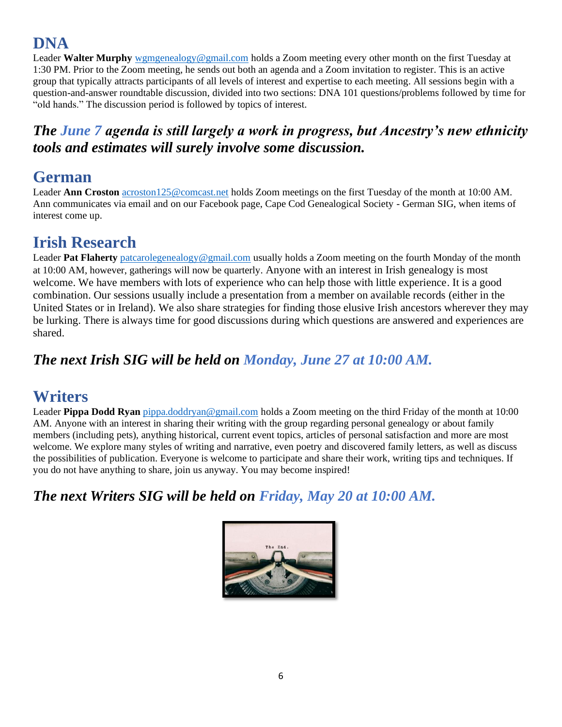# **DNA**

Leader **Walter Murphy** [wgmgenealogy@gmail.com](mailto:wgmgenealogy@gmail.com) holds a Zoom meeting every other month on the first Tuesday at 1:30 PM. Prior to the Zoom meeting, he sends out both an agenda and a Zoom invitation to register. This is an active group that typically attracts participants of all levels of interest and expertise to each meeting. All sessions begin with a question-and-answer roundtable discussion, divided into two sections: DNA 101 questions/problems followed by time for "old hands." The discussion period is followed by topics of interest.

#### *The June 7 agenda is still largely a work in progress, but Ancestry's new ethnicity tools and estimates will surely involve some discussion.*

#### **German**

Leader **Ann Croston** [acroston125@comcast.net](mailto:acroston125@comcast.net) holds Zoom meetings on the first Tuesday of the month at 10:00 AM. Ann communicates via email and on our Facebook page, Cape Cod Genealogical Society - German SIG, when items of interest come up.

#### **Irish Research**

Leader Pat Flaherty [patcarolegenealogy@gmail.com](mailto:patcarolegenealogy@gmail.com) usually holds a Zoom meeting on the fourth Monday of the month at 10:00 AM, however, gatherings will now be quarterly. Anyone with an interest in Irish genealogy is most welcome. We have members with lots of experience who can help those with little experience. It is a good combination. Our sessions usually include a presentation from a member on available records (either in the United States or in Ireland). We also share strategies for finding those elusive Irish ancestors wherever they may be lurking. There is always time for good discussions during which questions are answered and experiences are shared.

#### *The next Irish SIG will be held on Monday, June 27 at 10:00 AM.*

#### **Writers**

Leader **Pippa Dodd Ryan** [pippa.doddryan@gmail.com](mailto:pippa.doddryan@gmail.com) holds a Zoom meeting on the third Friday of the month at 10:00 AM. Anyone with an interest in sharing their writing with the group regarding personal genealogy or about family members (including pets), anything historical, current event topics, articles of personal satisfaction and more are most welcome. We explore many styles of writing and narrative, even poetry and discovered family letters, as well as discuss the possibilities of publication. Everyone is welcome to participate and share their work, writing tips and techniques. If you do not have anything to share, join us anyway. You may become inspired!

#### *The next Writers SIG will be held on Friday, May 20 at 10:00 AM.*

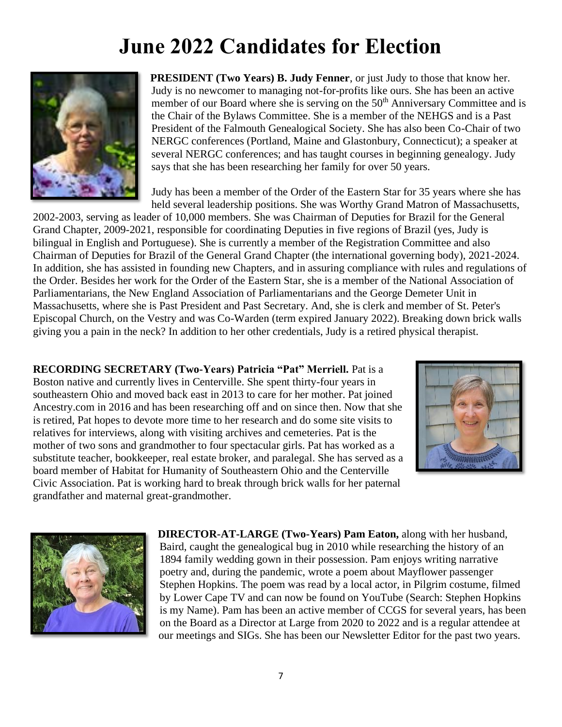# **June 2022 Candidates for Election**



**PRESIDENT (Two Years) B. Judy Fenner**, or just Judy to those that know her. Judy is no newcomer to managing not-for-profits like ours. She has been an active member of our Board where she is serving on the 50<sup>th</sup> Anniversary Committee and is the Chair of the Bylaws Committee. She is a member of the NEHGS and is a Past President of the Falmouth Genealogical Society. She has also been Co-Chair of two NERGC conferences (Portland, Maine and Glastonbury, Connecticut); a speaker at several NERGC conferences; and has taught courses in beginning genealogy. Judy says that she has been researching her family for over 50 years.

Judy has been a member of the Order of the Eastern Star for 35 years where she has held several leadership positions. She was Worthy Grand Matron of Massachusetts,

2002-2003, serving as leader of 10,000 members. She was Chairman of Deputies for Brazil for the General Grand Chapter, 2009-2021, responsible for coordinating Deputies in five regions of Brazil (yes, Judy is bilingual in English and Portuguese). She is currently a member of the Registration Committee and also Chairman of Deputies for Brazil of the General Grand Chapter (the international governing body), 2021-2024. In addition, she has assisted in founding new Chapters, and in assuring compliance with rules and regulations of the Order. Besides her work for the Order of the Eastern Star, she is a member of the National Association of Parliamentarians, the New England Association of Parliamentarians and the George Demeter Unit in Massachusetts, where she is Past President and Past Secretary. And, she is clerk and member of St. Peter's Episcopal Church, on the Vestry and was Co-Warden (term expired January 2022). Breaking down brick walls giving you a pain in the neck? In addition to her other credentials, Judy is a retired physical therapist.

**RECORDING SECRETARY (Two-Years) Patricia "Pat" Merriell.** Pat is a Boston native and currently lives in Centerville. She spent thirty-four years in southeastern Ohio and moved back east in 2013 to care for her mother. Pat joined Ancestry.com in 2016 and has been researching off and on since then. Now that she is retired, Pat hopes to devote more time to her research and do some site visits to relatives for interviews, along with visiting archives and cemeteries. Pat is the mother of two sons and grandmother to four spectacular girls. Pat has worked as a substitute teacher, bookkeeper, real estate broker, and paralegal. She has served as a board member of Habitat for Humanity of Southeastern Ohio and the Centerville Civic Association. Pat is working hard to break through brick walls for her paternal grandfather and maternal great-grandmother.





**DIRECTOR-AT-LARGE (Two-Years) Pam Eaton,** along with her husband, Baird, caught the genealogical bug in 2010 while researching the history of an 1894 family wedding gown in their possession. Pam enjoys writing narrative poetry and, during the pandemic, wrote a poem about Mayflower passenger Stephen Hopkins. The poem was read by a local actor, in Pilgrim costume, filmed by Lower Cape TV and can now be found on YouTube (Search: Stephen Hopkins is my Name). Pam has been an active member of CCGS for several years, has been on the Board as a Director at Large from 2020 to 2022 and is a regular attendee at our meetings and SIGs. She has been our Newsletter Editor for the past two years.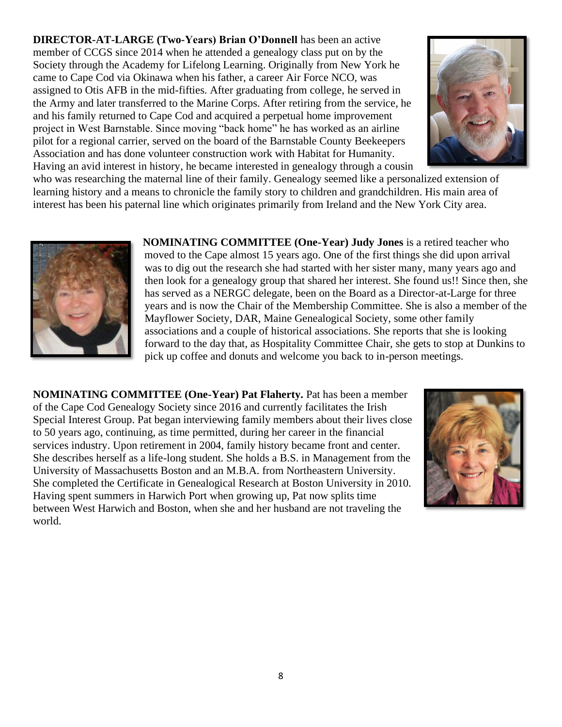**DIRECTOR-AT-LARGE (Two-Years) Brian O'Donnell** has been an active member of CCGS since 2014 when he attended a genealogy class put on by the Society through the Academy for Lifelong Learning. Originally from New York he came to Cape Cod via Okinawa when his father, a career Air Force NCO, was assigned to Otis AFB in the mid-fifties. After graduating from college, he served in the Army and later transferred to the Marine Corps. After retiring from the service, he and his family returned to Cape Cod and acquired a perpetual home improvement project in West Barnstable. Since moving "back home" he has worked as an airline pilot for a regional carrier, served on the board of the Barnstable County Beekeepers Association and has done volunteer construction work with Habitat for Humanity. Having an avid interest in history, he became interested in genealogy through a cousin



who was researching the maternal line of their family. Genealogy seemed like a personalized extension of learning history and a means to chronicle the family story to children and grandchildren. His main area of interest has been his paternal line which originates primarily from Ireland and the New York City area.



**NOMINATING COMMITTEE (One-Year) Judy Jones** is a retired teacher who moved to the Cape almost 15 years ago. One of the first things she did upon arrival was to dig out the research she had started with her sister many, many years ago and then look for a genealogy group that shared her interest. She found us!! Since then, she has served as a NERGC delegate, been on the Board as a Director-at-Large for three years and is now the Chair of the Membership Committee. She is also a member of the Mayflower Society, DAR, Maine Genealogical Society, some other family associations and a couple of historical associations. She reports that she is looking forward to the day that, as Hospitality Committee Chair, she gets to stop at Dunkins to pick up coffee and donuts and welcome you back to in-person meetings.

**NOMINATING COMMITTEE (One-Year) Pat Flaherty.** Pat has been a member of the Cape Cod Genealogy Society since 2016 and currently facilitates the Irish Special Interest Group. Pat began interviewing family members about their lives close to 50 years ago, continuing, as time permitted, during her career in the financial services industry. Upon retirement in 2004, family history became front and center. She describes herself as a life-long student. She holds a B.S. in Management from the University of Massachusetts Boston and an M.B.A. from Northeastern University. She completed the Certificate in Genealogical Research at Boston University in 2010. Having spent summers in Harwich Port when growing up, Pat now splits time between West Harwich and Boston, when she and her husband are not traveling the world.

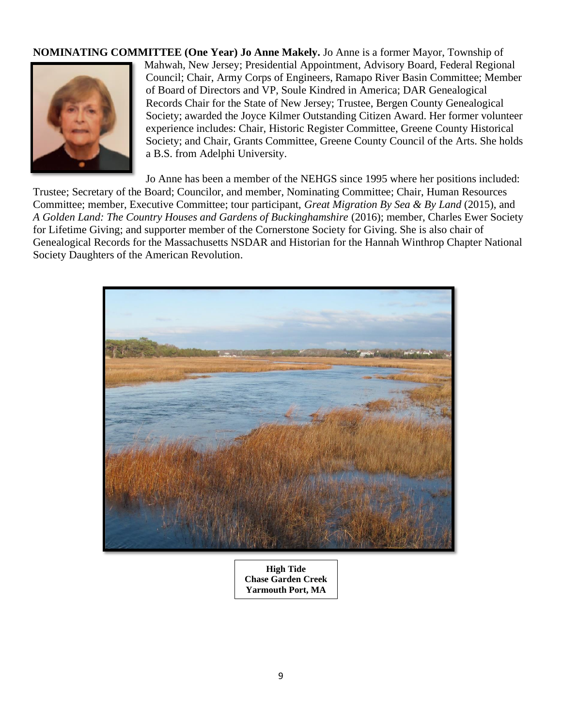**NOMINATING COMMITTEE (One Year) Jo Anne Makely.** Jo Anne is a former Mayor, Township of Mahwah, New Jersey; Presidential Appointment, Advisory Board, Federal Regional Council; Chair, Army Corps of Engineers, Ramapo River Basin Committee; Member of Board of Directors and VP, Soule Kindred in America; DAR Genealogical Records Chair for the State of New Jersey; Trustee, Bergen County Genealogical Society; awarded the Joyce Kilmer Outstanding Citizen Award. Her former volunteer experience includes: Chair, Historic Register Committee, Greene County Historical Society; and Chair, Grants Committee, Greene County Council of the Arts. She holds a B.S. from Adelphi University.

Jo Anne has been a member of the NEHGS since 1995 where her positions included: Trustee; Secretary of the Board; Councilor, and member, Nominating Committee; Chair, Human Resources Committee; member, Executive Committee; tour participant, *Great Migration By Sea & By Land* (2015), and *A Golden Land: The Country Houses and Gardens of Buckinghamshire* (2016); member, Charles Ewer Society for Lifetime Giving; and supporter member of the Cornerstone Society for Giving. She is also chair of Genealogical Records for the Massachusetts NSDAR and Historian for the Hannah Winthrop Chapter National Society Daughters of the American Revolution.



**High Tide Chase Garden Creek Yarmouth Port, MA**